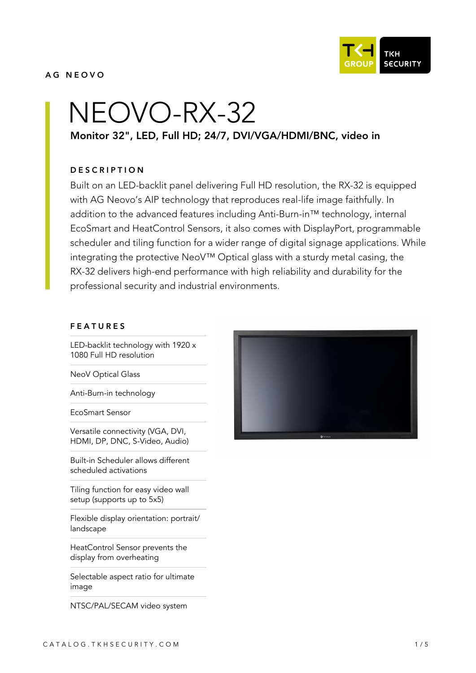**TKH SECURITY** 

### AG NEOVO

# NEOVO-RX-32 Monitor 32", LED, Full HD; 24/7, DVI/VGA/HDMI/BNC, video in

### **DESCRIPTION**

Built on an LED-backlit panel delivering Full HD resolution, the RX-32 is equipped with AG Neovo's AIP technology that reproduces real-life image faithfully. In addition to the advanced features including Anti-Burn-in™ technology, internal EcoSmart and HeatControl Sensors, it also comes with DisplayPort, programmable scheduler and tiling function for a wider range of digital signage applications. While integrating the protective NeoV™ Optical glass with a sturdy metal casing, the RX-32 delivers high-end performance with high reliability and durability for the professional security and industrial environments.

#### FEATURES

LED-backlit technology with 1920 x 1080 Full HD resolution

NeoV Optical Glass

Anti-Burn-in technology

EcoSmart Sensor

Versatile connectivity (VGA, DVI, HDMI, DP, DNC, S-Video, Audio)

Built-in Scheduler allows different scheduled activations

Tiling function for easy video wall setup (supports up to 5x5)

Flexible display orientation: portrait/ landscape

HeatControl Sensor prevents the display from overheating

Selectable aspect ratio for ultimate image

NTSC/PAL/SECAM video system

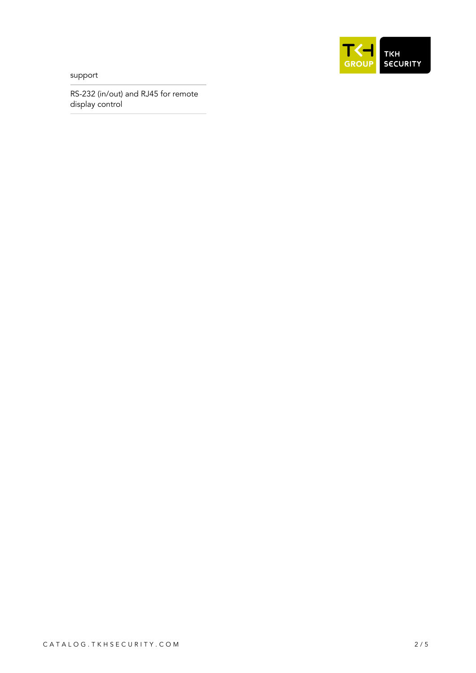support



RS-232 (in/out) and RJ45 for remote display control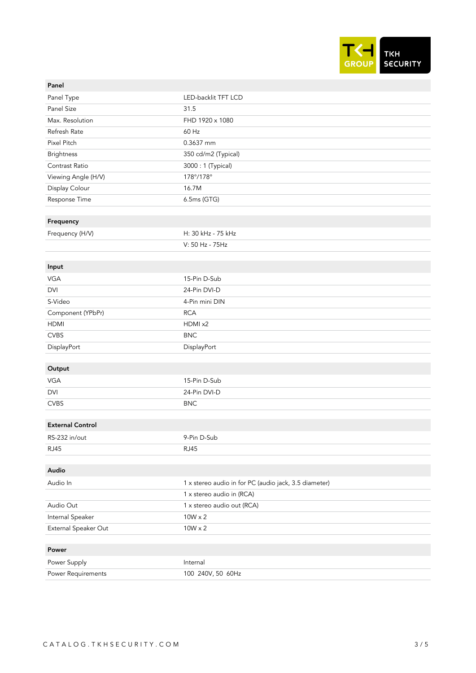

| Panel                        |                                                       |
|------------------------------|-------------------------------------------------------|
| Panel Type                   | LED-backlit TFT LCD                                   |
| Panel Size                   | 31.5                                                  |
| Max. Resolution              | FHD 1920 x 1080                                       |
| Refresh Rate                 | 60 Hz                                                 |
| Pixel Pitch                  | 0.3637 mm                                             |
| <b>Brightness</b>            | 350 cd/m2 (Typical)                                   |
| Contrast Ratio               | 3000: 1 (Typical)                                     |
| Viewing Angle (H/V)          | 178°/178°                                             |
| Display Colour               | 16.7M                                                 |
| Response Time                | 6.5ms (GTG)                                           |
|                              |                                                       |
| Frequency                    |                                                       |
| Frequency (H/V)              | H: 30 kHz - 75 kHz                                    |
|                              | V: 50 Hz - 75Hz                                       |
|                              |                                                       |
| Input                        |                                                       |
| <b>VGA</b>                   | 15-Pin D-Sub                                          |
| <b>DVI</b>                   | 24-Pin DVI-D                                          |
| S-Video                      | 4-Pin mini DIN                                        |
| Component (YPbPr)            | <b>RCA</b>                                            |
| <b>HDMI</b>                  | HDMI x2                                               |
| <b>CVBS</b>                  | <b>BNC</b>                                            |
| DisplayPort                  | DisplayPort                                           |
|                              |                                                       |
| Output                       |                                                       |
| VGA                          | 15-Pin D-Sub                                          |
| <b>DVI</b>                   | 24-Pin DVI-D                                          |
| <b>CVBS</b>                  | <b>BNC</b>                                            |
| <b>External Control</b>      |                                                       |
|                              | 9-Pin D-Sub                                           |
| RS-232 in/out<br><b>RJ45</b> |                                                       |
|                              | <b>RJ45</b>                                           |
| Audio                        |                                                       |
| Audio In                     | 1 x stereo audio in for PC (audio jack, 3.5 diameter) |
|                              | 1 x stereo audio in (RCA)                             |
| Audio Out                    | 1 x stereo audio out (RCA)                            |
| Internal Speaker             | $10W \times 2$                                        |
| External Speaker Out         | $10W \times 2$                                        |
|                              |                                                       |
| Power                        |                                                       |
| Power Supply                 | Internal                                              |
| Power Requirements           | 100 240V, 50 60Hz                                     |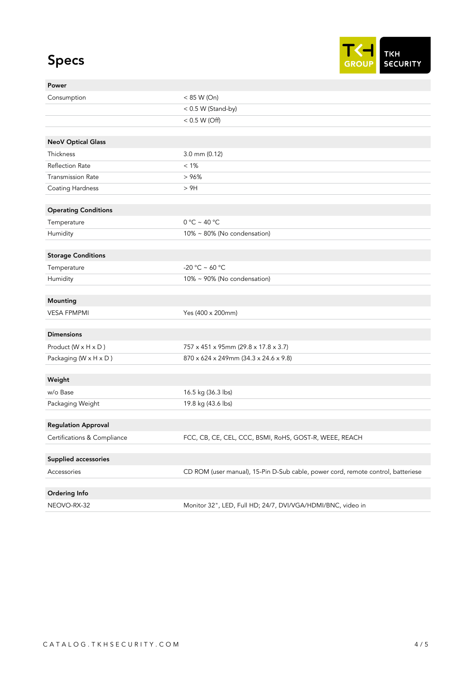## Specs



| Power                       |                                                                                  |
|-----------------------------|----------------------------------------------------------------------------------|
| Consumption                 | < 85 W (On)                                                                      |
|                             | < 0.5 W (Stand-by)                                                               |
|                             | < 0.5 W (Off)                                                                    |
|                             |                                                                                  |
| <b>NeoV Optical Glass</b>   |                                                                                  |
| Thickness                   | 3.0 mm (0.12)                                                                    |
| <b>Reflection Rate</b>      | $< 1\%$                                                                          |
| <b>Transmission Rate</b>    | >96%                                                                             |
| Coating Hardness            | > 9H                                                                             |
|                             |                                                                                  |
| <b>Operating Conditions</b> |                                                                                  |
| Temperature                 | $0 °C \sim 40 °C$                                                                |
| Humidity                    | 10% ~ 80% (No condensation)                                                      |
|                             |                                                                                  |
| <b>Storage Conditions</b>   |                                                                                  |
| Temperature                 | -20 °C ~ 60 °C                                                                   |
| Humidity                    | 10% ~ 90% (No condensation)                                                      |
|                             |                                                                                  |
| Mounting                    |                                                                                  |
| <b>VESA FPMPMI</b>          | Yes (400 x 200mm)                                                                |
| <b>Dimensions</b>           |                                                                                  |
| Product (W x H x D)         | 757 x 451 x 95mm (29.8 x 17.8 x 3.7)                                             |
| Packaging (W x H x D)       | 870 x 624 x 249mm (34.3 x 24.6 x 9.8)                                            |
|                             |                                                                                  |
| Weight                      |                                                                                  |
| w/o Base                    | 16.5 kg (36.3 lbs)                                                               |
| Packaging Weight            | 19.8 kg (43.6 lbs)                                                               |
|                             |                                                                                  |
| <b>Regulation Approval</b>  |                                                                                  |
| Certifications & Compliance | FCC, CB, CE, CEL, CCC, BSMI, RoHS, GOST-R, WEEE, REACH                           |
|                             |                                                                                  |
| Supplied accessories        |                                                                                  |
| Accessories                 | CD ROM (user manual), 15-Pin D-Sub cable, power cord, remote control, batteriese |
|                             |                                                                                  |
| Ordering Info               |                                                                                  |
| NEOVO-RX-32                 | Monitor 32", LED, Full HD; 24/7, DVI/VGA/HDMI/BNC, video in                      |